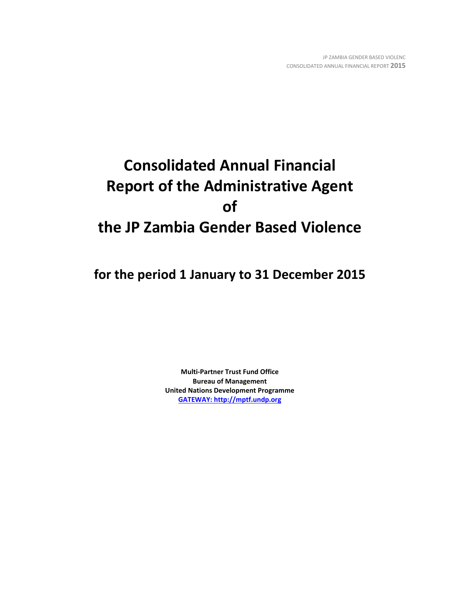# **Consolidated Annual Financial Report of the Administrative Agent of the JP Zambia Gender Based Violence**

**for the period 1 January to 31 December 2015**

**Multi-Partner Trust Fund Office Bureau of Management United Nations Development Programme [GATEWAY: http://mptf.undp.org](http://mptf.undp.org/)**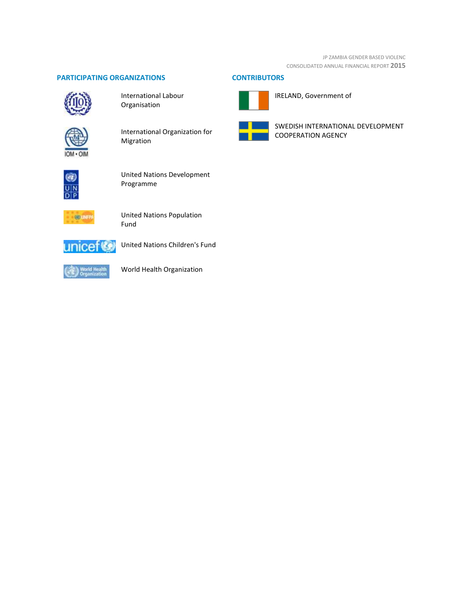JP ZAMBIA GENDER BASED VIOLENC CONSOLIDATED ANNUAL FINANCIAL REPORT **2015**

# **PARTICIPATING ORGANIZATIONS CONTRIBUTORS**



International Labour Organisation



International Organization for Migration



United Nations Development Programme



United Nations Population Fund



United Nations Children's Fund



World Health Organization



IRELAND, Government of



SWEDISH INTERNATIONAL DEVELOPMENT COOPERATION AGENCY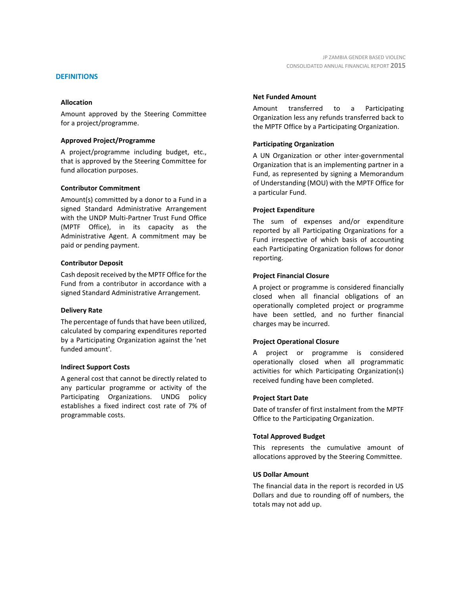#### **DEFINITIONS**

#### **Allocation**

Amount approved by the Steering Committee for a project/programme.

#### **Approved Project/Programme**

A project/programme including budget, etc., that is approved by the Steering Committee for fund allocation purposes.

#### **Contributor Commitment**

Amount(s) committed by a donor to a Fund in a signed Standard Administrative Arrangement with the UNDP Multi-Partner Trust Fund Office (MPTF Office), in its capacity as the Administrative Agent. A commitment may be paid or pending payment.

#### **Contributor Deposit**

Cash deposit received by the MPTF Office for the Fund from a contributor in accordance with a signed Standard Administrative Arrangement.

#### **Delivery Rate**

The percentage of funds that have been utilized, calculated by comparing expenditures reported by a Participating Organization against the 'net funded amount'.

#### **Indirect Support Costs**

A general cost that cannot be directly related to any particular programme or activity of the Participating Organizations. UNDG policy establishes a fixed indirect cost rate of 7% of programmable costs.

#### **Net Funded Amount**

Amount transferred to a Participating Organization less any refunds transferred back to the MPTF Office by a Participating Organization.

#### **Participating Organization**

A UN Organization or other inter-governmental Organization that is an implementing partner in a Fund, as represented by signing a Memorandum of Understanding (MOU) with the MPTF Office for a particular Fund.

#### **Project Expenditure**

The sum of expenses and/or expenditure reported by all Participating Organizations for a Fund irrespective of which basis of accounting each Participating Organization follows for donor reporting.

#### **Project Financial Closure**

A project or programme is considered financially closed when all financial obligations of an operationally completed project or programme have been settled, and no further financial charges may be incurred.

#### **Project Operational Closure**

A project or programme is considered operationally closed when all programmatic activities for which Participating Organization(s) received funding have been completed.

#### **Project Start Date**

Date of transfer of first instalment from the MPTF Office to the Participating Organization.

#### **Total Approved Budget**

This represents the cumulative amount of allocations approved by the Steering Committee.

#### **US Dollar Amount**

The financial data in the report is recorded in US Dollars and due to rounding off of numbers, the totals may not add up.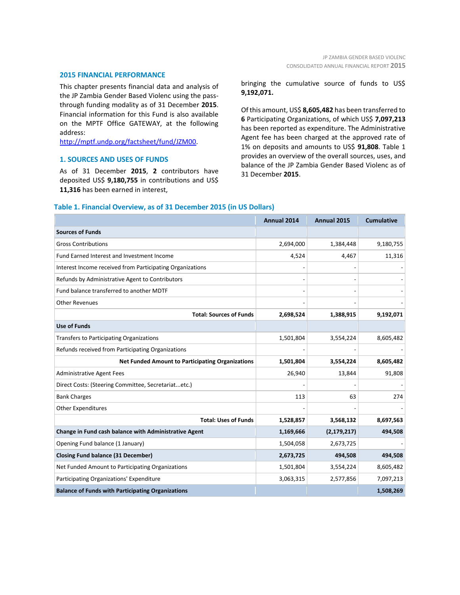#### **2015 FINANCIAL PERFORMANCE**

This chapter presents financial data and analysis of the JP Zambia Gender Based Violenc using the passthrough funding modality as of 31 December **2015**. Financial information for this Fund is also available on the MPTF Office GATEWAY, at the following address:

[http://mptf.undp.org/factsheet/fund/JZM00.](http://mptf.undp.org/factsheet/fund/JZM00)

#### **1. SOURCES AND USES OF FUNDS**

As of 31 December **2015**, **2** contributors have deposited US\$ **9,180,755** in contributions and US\$ **11,316** has been earned in interest,

bringing the cumulative source of funds to US\$ **9,192,071.**

Of this amount, US\$ **8,605,482** has been transferred to **6** Participating Organizations, of which US\$ **7,097,213** has been reported as expenditure. The Administrative Agent fee has been charged at the approved rate of 1% on deposits and amounts to US\$ **91,808**. Table 1 provides an overview of the overall sources, uses, and balance of the JP Zambia Gender Based Violenc as of 31 December **2015**.

### **Table 1. Financial Overview, as of 31 December 2015 (in US Dollars)**

|                                                           | Annual 2014 | Annual 2015   | <b>Cumulative</b> |
|-----------------------------------------------------------|-------------|---------------|-------------------|
| <b>Sources of Funds</b>                                   |             |               |                   |
| <b>Gross Contributions</b>                                | 2,694,000   | 1,384,448     | 9,180,755         |
| Fund Earned Interest and Investment Income                | 4,524       | 4,467         | 11,316            |
| Interest Income received from Participating Organizations |             |               |                   |
| Refunds by Administrative Agent to Contributors           |             |               |                   |
| Fund balance transferred to another MDTF                  |             |               |                   |
| <b>Other Revenues</b>                                     |             |               |                   |
| <b>Total: Sources of Funds</b>                            | 2,698,524   | 1,388,915     | 9,192,071         |
| <b>Use of Funds</b>                                       |             |               |                   |
| <b>Transfers to Participating Organizations</b>           | 1,501,804   | 3,554,224     | 8,605,482         |
| Refunds received from Participating Organizations         |             |               |                   |
| <b>Net Funded Amount to Participating Organizations</b>   | 1,501,804   | 3,554,224     | 8,605,482         |
| <b>Administrative Agent Fees</b>                          | 26,940      | 13,844        | 91,808            |
| Direct Costs: (Steering Committee, Secretariatetc.)       |             |               |                   |
| <b>Bank Charges</b>                                       | 113         | 63            | 274               |
| <b>Other Expenditures</b>                                 |             |               |                   |
| <b>Total: Uses of Funds</b>                               | 1,528,857   | 3,568,132     | 8,697,563         |
| Change in Fund cash balance with Administrative Agent     | 1,169,666   | (2, 179, 217) | 494,508           |
| Opening Fund balance (1 January)                          | 1,504,058   | 2,673,725     |                   |
| <b>Closing Fund balance (31 December)</b>                 | 2,673,725   | 494,508       | 494,508           |
| Net Funded Amount to Participating Organizations          | 1,501,804   | 3,554,224     | 8,605,482         |
| Participating Organizations' Expenditure                  | 3,063,315   | 2,577,856     | 7,097,213         |
| <b>Balance of Funds with Participating Organizations</b>  |             |               | 1,508,269         |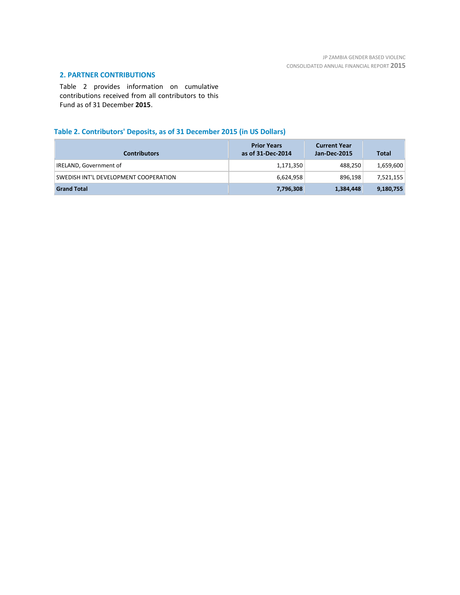# **2. PARTNER CONTRIBUTIONS**

Table 2 provides information on cumulative contributions received from all contributors to this Fund as of 31 December **2015**.

# **Table 2. Contributors' Deposits, as of 31 December 2015 (in US Dollars)**

| <b>Contributors</b>                   | <b>Prior Years</b><br>as of 31-Dec-2014 | <b>Current Year</b><br>Jan-Dec-2015 | <b>Total</b> |
|---------------------------------------|-----------------------------------------|-------------------------------------|--------------|
| IRELAND, Government of                | 1,171,350                               | 488,250                             | 1,659,600    |
| SWEDISH INT'L DEVELOPMENT COOPERATION | 6,624,958                               | 896,198                             | 7,521,155    |
| <b>Grand Total</b>                    | 7,796,308                               | 1,384,448                           | 9,180,755    |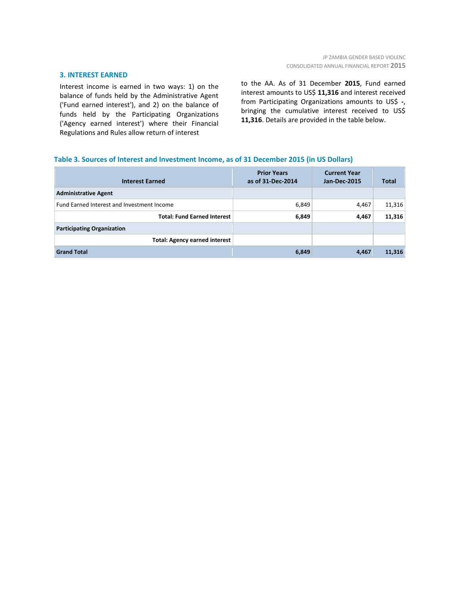#### **3. INTEREST EARNED**

Interest income is earned in two ways: 1) on the balance of funds held by the Administrative Agent ('Fund earned interest'), and 2) on the balance of funds held by the Participating Organizations ('Agency earned interest') where their Financial Regulations and Rules allow return of interest

to the AA. As of 31 December **2015**, Fund earned interest amounts to US\$ **11,316** and interest received from Participating Organizations amounts to US\$ **-**, bringing the cumulative interest received to US\$ **11,316**. Details are provided in the table below.

### **Table 3. Sources of Interest and Investment Income, as of 31 December 2015 (in US Dollars)**

| <b>Interest Earned</b>                     | <b>Prior Years</b><br>as of 31-Dec-2014 | <b>Current Year</b><br><b>Jan-Dec-2015</b> | <b>Total</b> |
|--------------------------------------------|-----------------------------------------|--------------------------------------------|--------------|
| <b>Administrative Agent</b>                |                                         |                                            |              |
| Fund Earned Interest and Investment Income | 6,849                                   | 4,467                                      | 11,316       |
| <b>Total: Fund Earned Interest</b>         | 6,849                                   | 4,467                                      | 11,316       |
| <b>Participating Organization</b>          |                                         |                                            |              |
| <b>Total: Agency earned interest</b>       |                                         |                                            |              |
| <b>Grand Total</b>                         | 6,849                                   | 4,467                                      | 11,316       |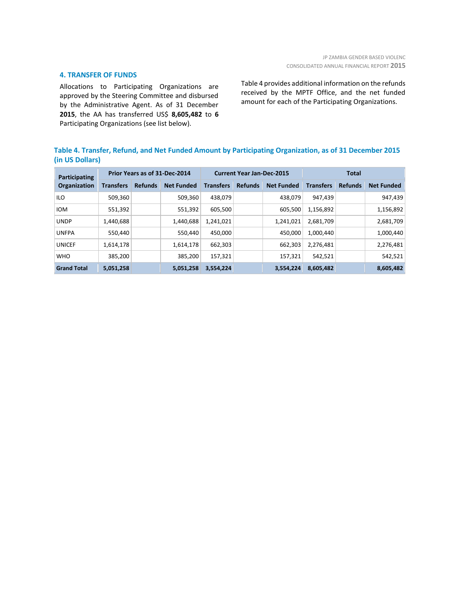### **4. TRANSFER OF FUNDS**

Allocations to Participating Organizations are approved by the Steering Committee and disbursed by the Administrative Agent. As of 31 December **2015**, the AA has transferred US\$ **8,605,482** to **6** Participating Organizations (see list below).

Table 4 provides additional information on the refunds received by the MPTF Office, and the net funded amount for each of the Participating Organizations.

# **Table 4. Transfer, Refund, and Net Funded Amount by Participating Organization, as of 31 December 2015 (in US Dollars)**

| Participating<br><b>Organization</b> | Prior Years as of 31-Dec-2014 |                |                   | <b>Current Year Jan-Dec-2015</b> |                |                   | Total            |                |                   |
|--------------------------------------|-------------------------------|----------------|-------------------|----------------------------------|----------------|-------------------|------------------|----------------|-------------------|
|                                      | <b>Transfers</b>              | <b>Refunds</b> | <b>Net Funded</b> | <b>Transfers</b>                 | <b>Refunds</b> | <b>Net Funded</b> | <b>Transfers</b> | <b>Refunds</b> | <b>Net Funded</b> |
| <b>ILO</b>                           | 509,360                       |                | 509,360           | 438.079                          |                | 438.079           | 947.439          |                | 947,439           |
| <b>IOM</b>                           | 551,392                       |                | 551,392           | 605.500                          |                | 605,500           | 1,156,892        |                | 1,156,892         |
| <b>UNDP</b>                          | 1,440,688                     |                | 1,440,688         | 1,241,021                        |                | 1,241,021         | 2,681,709        |                | 2,681,709         |
| <b>UNFPA</b>                         | 550.440                       |                | 550.440           | 450.000                          |                | 450.000           | 1,000,440        |                | 1,000,440         |
| <b>UNICEF</b>                        | 1.614.178                     |                | 1,614,178         | 662.303                          |                | 662.303           | 2,276,481        |                | 2,276,481         |
| <b>WHO</b>                           | 385,200                       |                | 385,200           | 157,321                          |                | 157,321           | 542.521          |                | 542,521           |
| <b>Grand Total</b>                   | 5,051,258                     |                | 5,051,258         | 3,554,224                        |                | 3,554,224         | 8,605,482        |                | 8,605,482         |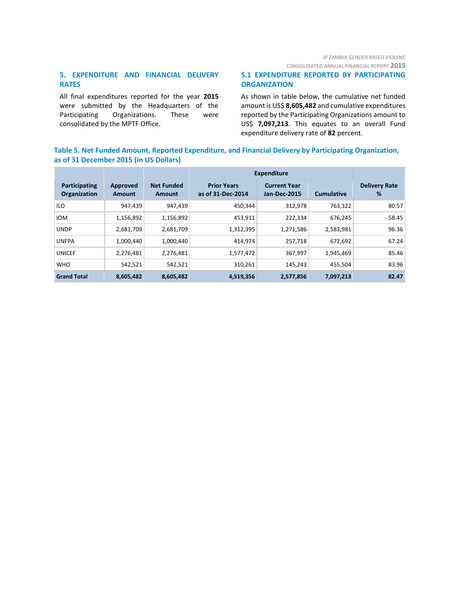# JP ZAMBIA GENDER BASED VIOLENC

CONSOLIDATED ANNUAL FINANCIAL REPORT **2015**

# **5. EXPENDITURE AND FINANCIAL DELIVERY RATES**

All final expenditures reported for the year **2015** were submitted by the Headquarters of the Participating Organizations. These were consolidated by the MPTF Office.

## **5.1 EXPENDITURE REPORTED BY PARTICIPATING ORGANIZATION**

As shown in table below, the cumulative net funded amount is US\$ **8,605,482** and cumulative expenditures reported by the Participating Organizations amount to US\$ **7,097,213**. This equates to an overall Fund expenditure delivery rate of **82** percent.

# **Table 5. Net Funded Amount, Reported Expenditure, and Financial Delivery by Participating Organization, as of 31 December 2015 (in US Dollars)**

|                                      |                    |                             | <b>Expenditure</b>                      |                                            |                   |                           |
|--------------------------------------|--------------------|-----------------------------|-----------------------------------------|--------------------------------------------|-------------------|---------------------------|
| <b>Participating</b><br>Organization | Approved<br>Amount | <b>Net Funded</b><br>Amount | <b>Prior Years</b><br>as of 31-Dec-2014 | <b>Current Year</b><br><b>Jan-Dec-2015</b> | <b>Cumulative</b> | <b>Delivery Rate</b><br>% |
| <b>ILO</b>                           | 947,439            | 947,439                     | 450,344                                 | 312,978                                    | 763.322           | 80.57                     |
| <b>IOM</b>                           | 1,156,892          | 1,156,892                   | 453,911                                 | 222,334                                    | 676.245           | 58.45                     |
| <b>UNDP</b>                          | 2,681,709          | 2,681,709                   | 1,312,395                               | 1,271,586                                  | 2,583,981         | 96.36                     |
| <b>UNFPA</b>                         | 1,000,440          | 1,000,440                   | 414,974                                 | 257,718                                    | 672.692           | 67.24                     |
| <b>UNICEF</b>                        | 2,276,481          | 2,276,481                   | 1,577,472                               | 367,997                                    | 1,945,469         | 85.46                     |
| <b>WHO</b>                           | 542,521            | 542,521                     | 310,261                                 | 145,243                                    | 455,504           | 83.96                     |
| <b>Grand Total</b>                   | 8,605,482          | 8,605,482                   | 4,519,356                               | 2,577,856                                  | 7,097,213         | 82.47                     |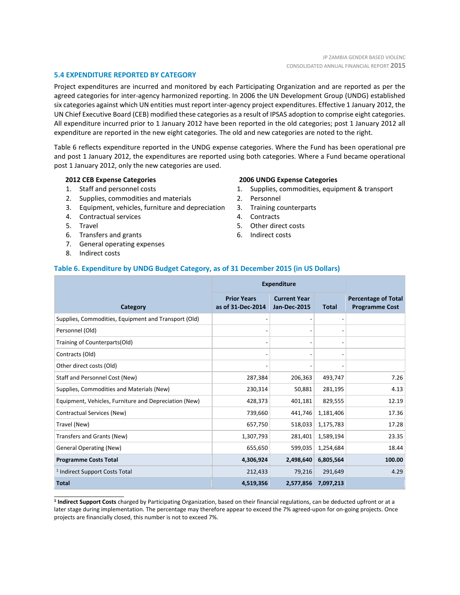### **5.4 EXPENDITURE REPORTED BY CATEGORY**

Project expenditures are incurred and monitored by each Participating Organization and are reported as per the agreed categories for inter-agency harmonized reporting. In 2006 the UN Development Group (UNDG) established six categories against which UN entities must report inter-agency project expenditures. Effective 1 January 2012, the UN Chief Executive Board (CEB) modified these categories as a result of IPSAS adoption to comprise eight categories. All expenditure incurred prior to 1 January 2012 have been reported in the old categories; post 1 January 2012 all expenditure are reported in the new eight categories. The old and new categories are noted to the right.

Table 6 reflects expenditure reported in the UNDG expense categories. Where the Fund has been operational pre and post 1 January 2012, the expenditures are reported using both categories. Where a Fund became operational post 1 January 2012, only the new categories are used.

#### **2012 CEB Expense Categories**

- 1. Staff and personnel costs
- 2. Supplies, commodities and materials
- 3. Equipment, vehicles, furniture and depreciation
- 4. Contractual services
- 5. Travel
- 6. Transfers and grants
- 7. General operating expenses
- 8. Indirect costs

\_\_\_\_\_\_\_\_\_\_\_\_\_\_\_\_\_\_\_\_\_\_

#### **2006 UNDG Expense Categories**

- 1. Supplies, commodities, equipment & transport
- 2. Personnel
- 3. Training counterparts
- 4. Contracts
- 5. Other direct costs
- 6. Indirect costs

#### **Table 6. Expenditure by UNDG Budget Category, as of 31 December 2015 (in US Dollars)**

|                                                       | <b>Expenditure</b>                      |                                            |              |                                                     |
|-------------------------------------------------------|-----------------------------------------|--------------------------------------------|--------------|-----------------------------------------------------|
| Category                                              | <b>Prior Years</b><br>as of 31-Dec-2014 | <b>Current Year</b><br><b>Jan-Dec-2015</b> | <b>Total</b> | <b>Percentage of Total</b><br><b>Programme Cost</b> |
| Supplies, Commodities, Equipment and Transport (Old)  |                                         |                                            |              |                                                     |
| Personnel (Old)                                       |                                         | $\overline{\phantom{0}}$                   |              |                                                     |
| Training of Counterparts(Old)                         |                                         | $\overline{a}$                             |              |                                                     |
| Contracts (Old)                                       |                                         | $\overline{\phantom{0}}$                   |              |                                                     |
| Other direct costs (Old)                              |                                         |                                            |              |                                                     |
| Staff and Personnel Cost (New)                        | 287,384                                 | 206,363                                    | 493,747      | 7.26                                                |
| Supplies, Commodities and Materials (New)             | 230,314                                 | 50,881                                     | 281,195      | 4.13                                                |
| Equipment, Vehicles, Furniture and Depreciation (New) | 428,373                                 | 401,181                                    | 829,555      | 12.19                                               |
| Contractual Services (New)                            | 739,660                                 | 441,746                                    | 1,181,406    | 17.36                                               |
| Travel (New)                                          | 657,750                                 | 518,033                                    | 1,175,783    | 17.28                                               |
| Transfers and Grants (New)                            | 1,307,793                               | 281,401                                    | 1,589,194    | 23.35                                               |
| <b>General Operating (New)</b>                        | 655,650                                 | 599,035                                    | 1,254,684    | 18.44                                               |
| <b>Programme Costs Total</b>                          | 4,306,924                               | 2,498,640                                  | 6,805,564    | 100.00                                              |
| <sup>1</sup> Indirect Support Costs Total             | 212,433                                 | 79,216                                     | 291,649      | 4.29                                                |
| <b>Total</b>                                          | 4,519,356                               | 2,577,856                                  | 7,097,213    |                                                     |

**1 Indirect Support Costs** charged by Participating Organization, based on their financial regulations, can be deducted upfront or at a later stage during implementation. The percentage may therefore appear to exceed the 7% agreed-upon for on-going projects. Once projects are financially closed, this number is not to exceed 7%.